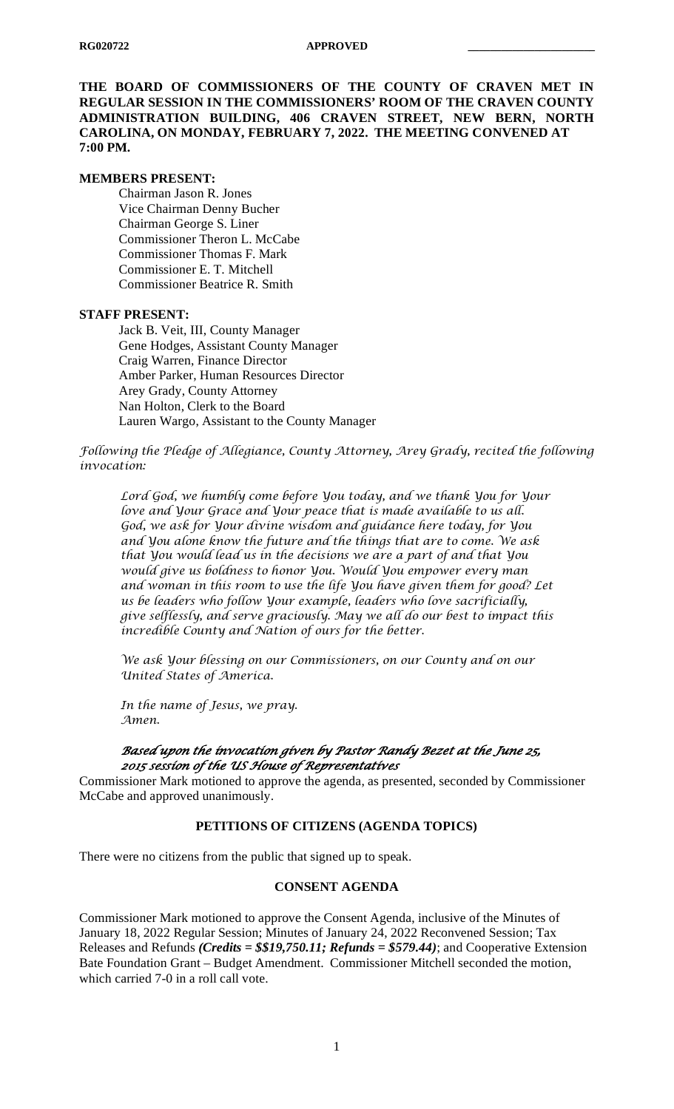**THE BOARD OF COMMISSIONERS OF THE COUNTY OF CRAVEN MET IN REGULAR SESSION IN THE COMMISSIONERS' ROOM OF THE CRAVEN COUNTY ADMINISTRATION BUILDING, 406 CRAVEN STREET, NEW BERN, NORTH CAROLINA, ON MONDAY, FEBRUARY 7, 2022. THE MEETING CONVENED AT 7:00 PM.**

#### **MEMBERS PRESENT:**

Chairman Jason R. Jones Vice Chairman Denny Bucher Chairman George S. Liner Commissioner Theron L. McCabe Commissioner Thomas F. Mark Commissioner E. T. Mitchell Commissioner Beatrice R. Smith

#### **STAFF PRESENT:**

Jack B. Veit, III, County Manager Gene Hodges, Assistant County Manager Craig Warren, Finance Director Amber Parker, Human Resources Director Arey Grady, County Attorney Nan Holton, Clerk to the Board Lauren Wargo, Assistant to the County Manager

*Following the Pledge of Allegiance, County Attorney, Arey Grady, recited the following invocation:*

*Lord God, we humbly come before You today, and we thank You for Your love and Your Grace and Your peace that is made available to us all. God, we ask for Your divine wisdom and guidance here today, for You and You alone know the future and the things that are to come. We ask that You would lead us in the decisions we are a part of and that You would give us boldness to honor You. Would You empower every man and woman in this room to use the life You have given them for good? Let us be leaders who follow Your example, leaders who love sacrificially, give selflessly, and serve graciously. May we all do our best to impact this incredible County and Nation of ours for the better.*

*We ask Your blessing on our Commissioners, on our County and on our United States of America.*

*In the name of Jesus, we pray. Amen.*

## *Based upon the invocation given by Pastor Randy Bezet at the June 25, 2015 session of the US House of Representatives*

Commissioner Mark motioned to approve the agenda, as presented, seconded by Commissioner McCabe and approved unanimously.

## **PETITIONS OF CITIZENS (AGENDA TOPICS)**

There were no citizens from the public that signed up to speak.

## **CONSENT AGENDA**

Commissioner Mark motioned to approve the Consent Agenda, inclusive of the Minutes of January 18, 2022 Regular Session; Minutes of January 24, 2022 Reconvened Session; Tax Releases and Refunds *(Credits = \$\$19,750.11; Refunds = \$579.44)*; and Cooperative Extension Bate Foundation Grant – Budget Amendment. Commissioner Mitchell seconded the motion, which carried 7-0 in a roll call vote.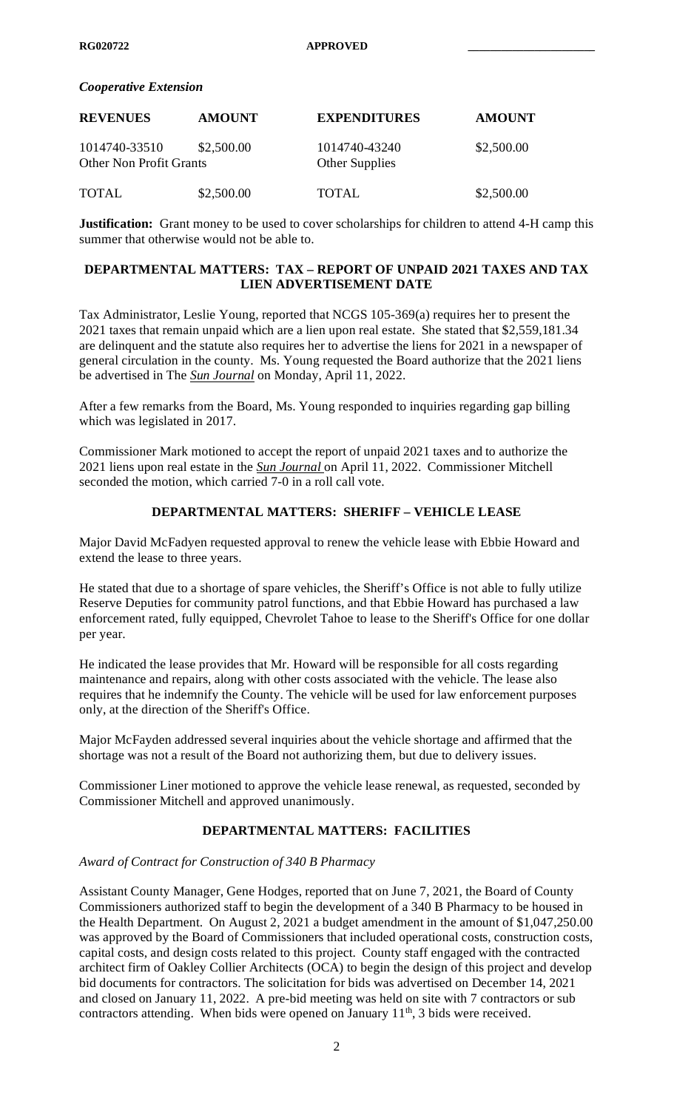#### *Cooperative Extension*

| <b>REVENUES</b>                                 | <b>AMOUNT</b> | <b>EXPENDITURES</b>                    | <b>AMOUNT</b> |
|-------------------------------------------------|---------------|----------------------------------------|---------------|
| 1014740-33510<br><b>Other Non Profit Grants</b> | \$2,500.00    | 1014740-43240<br><b>Other Supplies</b> | \$2,500.00    |
| <b>TOTAL</b>                                    | \$2,500.00    | <b>TOTAL</b>                           | \$2,500.00    |

**Justification:** Grant money to be used to cover scholarships for children to attend 4-H camp this summer that otherwise would not be able to.

## **DEPARTMENTAL MATTERS: TAX – REPORT OF UNPAID 2021 TAXES AND TAX LIEN ADVERTISEMENT DATE**

Tax Administrator, Leslie Young, reported that NCGS 105-369(a) requires her to present the 2021 taxes that remain unpaid which are a lien upon real estate. She stated that \$2,559,181.34 are delinquent and the statute also requires her to advertise the liens for 2021 in a newspaper of general circulation in the county. Ms. Young requested the Board authorize that the 2021 liens be advertised in The *Sun Journal* on Monday, April 11, 2022.

After a few remarks from the Board, Ms. Young responded to inquiries regarding gap billing which was legislated in 2017.

Commissioner Mark motioned to accept the report of unpaid 2021 taxes and to authorize the 2021 liens upon real estate in the *Sun Journal* on April 11, 2022. Commissioner Mitchell seconded the motion, which carried 7-0 in a roll call vote.

## **DEPARTMENTAL MATTERS: SHERIFF – VEHICLE LEASE**

Major David McFadyen requested approval to renew the vehicle lease with Ebbie Howard and extend the lease to three years.

He stated that due to a shortage of spare vehicles, the Sheriff's Office is not able to fully utilize Reserve Deputies for community patrol functions, and that Ebbie Howard has purchased a law enforcement rated, fully equipped, Chevrolet Tahoe to lease to the Sheriff's Office for one dollar per year.

He indicated the lease provides that Mr. Howard will be responsible for all costs regarding maintenance and repairs, along with other costs associated with the vehicle. The lease also requires that he indemnify the County. The vehicle will be used for law enforcement purposes only, at the direction of the Sheriff's Office.

Major McFayden addressed several inquiries about the vehicle shortage and affirmed that the shortage was not a result of the Board not authorizing them, but due to delivery issues.

Commissioner Liner motioned to approve the vehicle lease renewal, as requested, seconded by Commissioner Mitchell and approved unanimously.

# **DEPARTMENTAL MATTERS: FACILITIES**

## *Award of Contract for Construction of 340 B Pharmacy*

Assistant County Manager, Gene Hodges, reported that on June 7, 2021, the Board of County Commissioners authorized staff to begin the development of a 340 B Pharmacy to be housed in the Health Department. On August 2, 2021 a budget amendment in the amount of \$1,047,250.00 was approved by the Board of Commissioners that included operational costs, construction costs, capital costs, and design costs related to this project. County staff engaged with the contracted architect firm of Oakley Collier Architects (OCA) to begin the design of this project and develop bid documents for contractors. The solicitation for bids was advertised on December 14, 2021 and closed on January 11, 2022. A pre-bid meeting was held on site with 7 contractors or sub contractors attending. When bids were opened on January  $11<sup>th</sup>$ , 3 bids were received.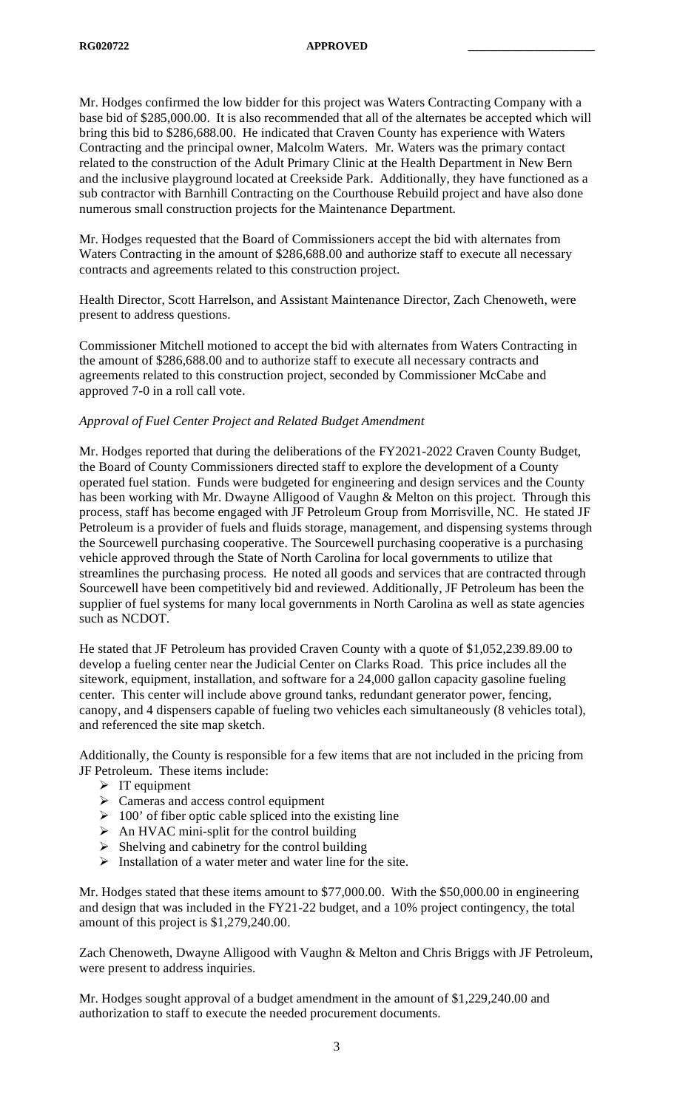Mr. Hodges confirmed the low bidder for this project was Waters Contracting Company with a base bid of \$285,000.00. It is also recommended that all of the alternates be accepted which will bring this bid to \$286,688.00. He indicated that Craven County has experience with Waters Contracting and the principal owner, Malcolm Waters. Mr. Waters was the primary contact related to the construction of the Adult Primary Clinic at the Health Department in New Bern and the inclusive playground located at Creekside Park. Additionally, they have functioned as a sub contractor with Barnhill Contracting on the Courthouse Rebuild project and have also done numerous small construction projects for the Maintenance Department.

Mr. Hodges requested that the Board of Commissioners accept the bid with alternates from Waters Contracting in the amount of \$286,688.00 and authorize staff to execute all necessary contracts and agreements related to this construction project.

Health Director, Scott Harrelson, and Assistant Maintenance Director, Zach Chenoweth, were present to address questions.

Commissioner Mitchell motioned to accept the bid with alternates from Waters Contracting in the amount of \$286,688.00 and to authorize staff to execute all necessary contracts and agreements related to this construction project, seconded by Commissioner McCabe and approved 7-0 in a roll call vote.

## *Approval of Fuel Center Project and Related Budget Amendment*

Mr. Hodges reported that during the deliberations of the FY2021-2022 Craven County Budget, the Board of County Commissioners directed staff to explore the development of a County operated fuel station. Funds were budgeted for engineering and design services and the County has been working with Mr. Dwayne Alligood of Vaughn & Melton on this project. Through this process, staff has become engaged with JF Petroleum Group from Morrisville, NC. He stated JF Petroleum is a provider of fuels and fluids storage, management, and dispensing systems through the Sourcewell purchasing cooperative. The Sourcewell purchasing cooperative is a purchasing vehicle approved through the State of North Carolina for local governments to utilize that streamlines the purchasing process. He noted all goods and services that are contracted through Sourcewell have been competitively bid and reviewed. Additionally, JF Petroleum has been the supplier of fuel systems for many local governments in North Carolina as well as state agencies such as NCDOT.

He stated that JF Petroleum has provided Craven County with a quote of \$1,052,239.89.00 to develop a fueling center near the Judicial Center on Clarks Road. This price includes all the sitework, equipment, installation, and software for a 24,000 gallon capacity gasoline fueling center. This center will include above ground tanks, redundant generator power, fencing, canopy, and 4 dispensers capable of fueling two vehicles each simultaneously (8 vehicles total), and referenced the site map sketch.

Additionally, the County is responsible for a few items that are not included in the pricing from JF Petroleum. These items include:

- $\triangleright$  IT equipment
- $\triangleright$  Cameras and access control equipment
- $\geq 100$ ' of fiber optic cable spliced into the existing line
- $\triangleright$  An HVAC mini-split for the control building
- $\triangleright$  Shelving and cabinetry for the control building
- $\triangleright$  Installation of a water meter and water line for the site.

Mr. Hodges stated that these items amount to \$77,000.00. With the \$50,000.00 in engineering and design that was included in the FY21-22 budget, and a 10% project contingency, the total amount of this project is \$1,279,240.00.

Zach Chenoweth, Dwayne Alligood with Vaughn & Melton and Chris Briggs with JF Petroleum, were present to address inquiries.

Mr. Hodges sought approval of a budget amendment in the amount of \$1,229,240.00 and authorization to staff to execute the needed procurement documents.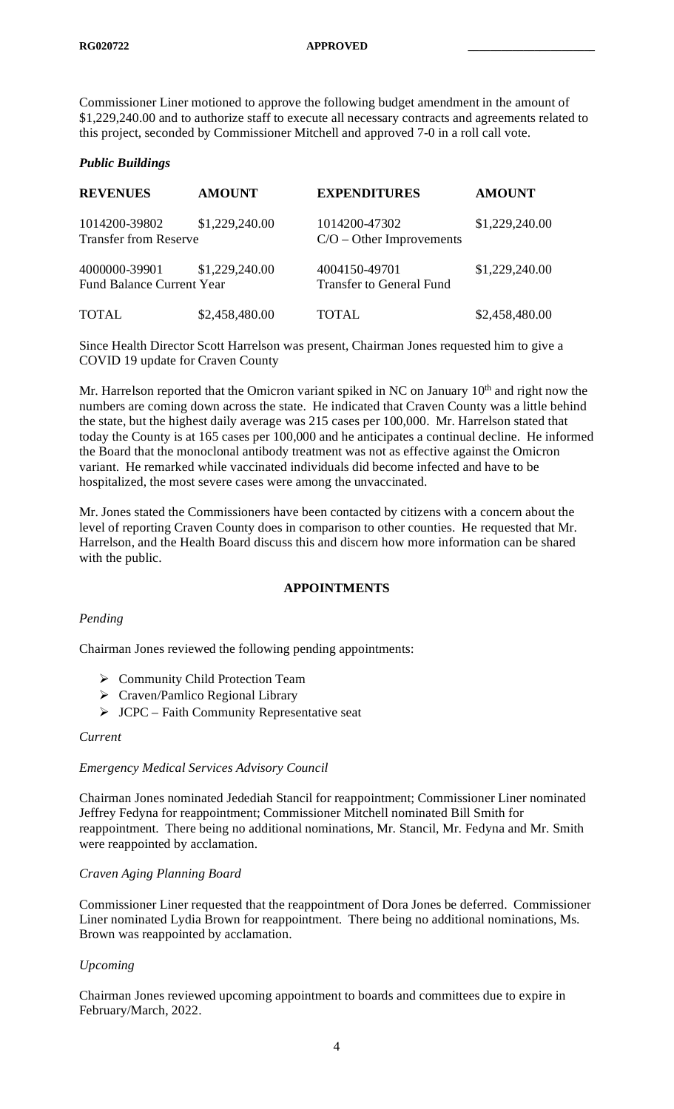Commissioner Liner motioned to approve the following budget amendment in the amount of \$1,229,240.00 and to authorize staff to execute all necessary contracts and agreements related to this project, seconded by Commissioner Mitchell and approved 7-0 in a roll call vote.

### *Public Buildings*

| <b>REVENUES</b>                                   | <b>AMOUNT</b>  | <b>EXPENDITURES</b>                              | <b>AMOUNT</b>  |
|---------------------------------------------------|----------------|--------------------------------------------------|----------------|
| 1014200-39802<br><b>Transfer from Reserve</b>     | \$1,229,240.00 | 1014200-47302<br>$C/O - Other Improvements$      | \$1,229,240.00 |
| 4000000-39901<br><b>Fund Balance Current Year</b> | \$1,229,240.00 | 4004150-49701<br><b>Transfer to General Fund</b> | \$1,229,240.00 |
| <b>TOTAL</b>                                      | \$2,458,480.00 | <b>TOTAL</b>                                     | \$2,458,480.00 |

Since Health Director Scott Harrelson was present, Chairman Jones requested him to give a COVID 19 update for Craven County

Mr. Harrelson reported that the Omicron variant spiked in NC on January  $10<sup>th</sup>$  and right now the numbers are coming down across the state. He indicated that Craven County was a little behind the state, but the highest daily average was 215 cases per 100,000. Mr. Harrelson stated that today the County is at 165 cases per 100,000 and he anticipates a continual decline. He informed the Board that the monoclonal antibody treatment was not as effective against the Omicron variant. He remarked while vaccinated individuals did become infected and have to be hospitalized, the most severe cases were among the unvaccinated.

Mr. Jones stated the Commissioners have been contacted by citizens with a concern about the level of reporting Craven County does in comparison to other counties. He requested that Mr. Harrelson, and the Health Board discuss this and discern how more information can be shared with the public.

## **APPOINTMENTS**

## *Pending*

Chairman Jones reviewed the following pending appointments:

- $\triangleright$  Community Child Protection Team
- Craven/Pamlico Regional Library
- $\triangleright$  JCPC Faith Community Representative seat

#### *Current*

#### *Emergency Medical Services Advisory Council*

Chairman Jones nominated Jedediah Stancil for reappointment; Commissioner Liner nominated Jeffrey Fedyna for reappointment; Commissioner Mitchell nominated Bill Smith for reappointment. There being no additional nominations, Mr. Stancil, Mr. Fedyna and Mr. Smith were reappointed by acclamation.

#### *Craven Aging Planning Board*

Commissioner Liner requested that the reappointment of Dora Jones be deferred. Commissioner Liner nominated Lydia Brown for reappointment. There being no additional nominations, Ms. Brown was reappointed by acclamation.

#### *Upcoming*

Chairman Jones reviewed upcoming appointment to boards and committees due to expire in February/March, 2022.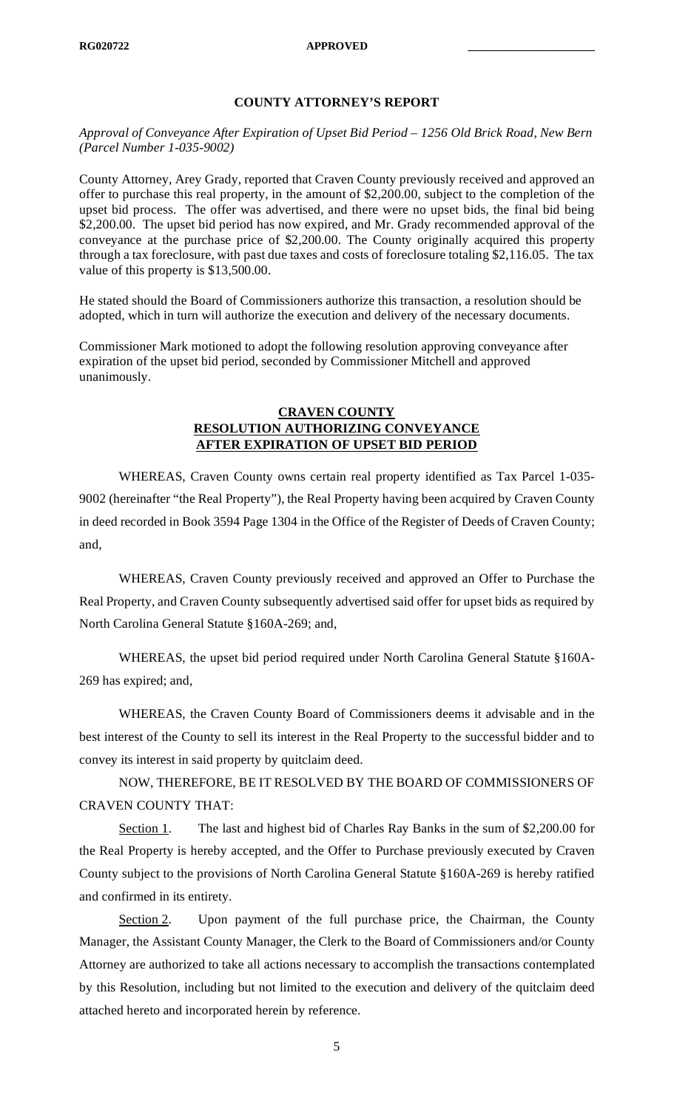# **COUNTY ATTORNEY'S REPORT**

*Approval of Conveyance After Expiration of Upset Bid Period – 1256 Old Brick Road, New Bern (Parcel Number 1-035-9002)*

County Attorney, Arey Grady, reported that Craven County previously received and approved an offer to purchase this real property, in the amount of \$2,200.00, subject to the completion of the upset bid process. The offer was advertised, and there were no upset bids, the final bid being \$2,200.00. The upset bid period has now expired, and Mr. Grady recommended approval of the conveyance at the purchase price of \$2,200.00. The County originally acquired this property through a tax foreclosure, with past due taxes and costs of foreclosure totaling \$2,116.05. The tax value of this property is \$13,500.00.

He stated should the Board of Commissioners authorize this transaction, a resolution should be adopted, which in turn will authorize the execution and delivery of the necessary documents.

Commissioner Mark motioned to adopt the following resolution approving conveyance after expiration of the upset bid period, seconded by Commissioner Mitchell and approved unanimously.

# **CRAVEN COUNTY RESOLUTION AUTHORIZING CONVEYANCE AFTER EXPIRATION OF UPSET BID PERIOD**

WHEREAS, Craven County owns certain real property identified as Tax Parcel 1-035- 9002 (hereinafter "the Real Property"), the Real Property having been acquired by Craven County in deed recorded in Book 3594 Page 1304 in the Office of the Register of Deeds of Craven County; and,

WHEREAS, Craven County previously received and approved an Offer to Purchase the Real Property, and Craven County subsequently advertised said offer for upset bids as required by North Carolina General Statute §160A-269; and,

WHEREAS, the upset bid period required under North Carolina General Statute §160A-269 has expired; and,

WHEREAS, the Craven County Board of Commissioners deems it advisable and in the best interest of the County to sell its interest in the Real Property to the successful bidder and to convey its interest in said property by quitclaim deed.

NOW, THEREFORE, BE IT RESOLVED BY THE BOARD OF COMMISSIONERS OF CRAVEN COUNTY THAT:

Section 1. The last and highest bid of Charles Ray Banks in the sum of \$2,200.00 for the Real Property is hereby accepted, and the Offer to Purchase previously executed by Craven County subject to the provisions of North Carolina General Statute §160A-269 is hereby ratified and confirmed in its entirety.

Section 2. Upon payment of the full purchase price, the Chairman, the County Manager, the Assistant County Manager, the Clerk to the Board of Commissioners and/or County Attorney are authorized to take all actions necessary to accomplish the transactions contemplated by this Resolution, including but not limited to the execution and delivery of the quitclaim deed attached hereto and incorporated herein by reference.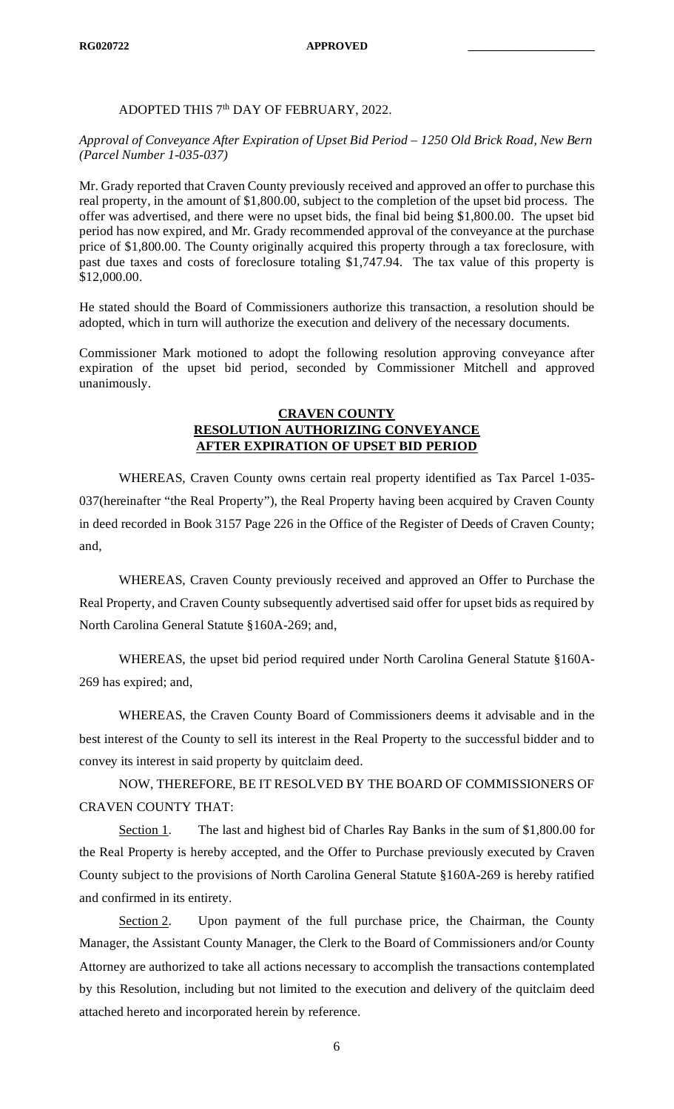## ADOPTED THIS 7<sup>th</sup> DAY OF FEBRUARY, 2022.

## *Approval of Conveyance After Expiration of Upset Bid Period – 1250 Old Brick Road, New Bern (Parcel Number 1-035-037)*

Mr. Grady reported that Craven County previously received and approved an offer to purchase this real property, in the amount of \$1,800.00, subject to the completion of the upset bid process. The offer was advertised, and there were no upset bids, the final bid being \$1,800.00. The upset bid period has now expired, and Mr. Grady recommended approval of the conveyance at the purchase price of \$1,800.00. The County originally acquired this property through a tax foreclosure, with past due taxes and costs of foreclosure totaling \$1,747.94. The tax value of this property is \$12,000.00.

He stated should the Board of Commissioners authorize this transaction, a resolution should be adopted, which in turn will authorize the execution and delivery of the necessary documents.

Commissioner Mark motioned to adopt the following resolution approving conveyance after expiration of the upset bid period, seconded by Commissioner Mitchell and approved unanimously.

## **CRAVEN COUNTY RESOLUTION AUTHORIZING CONVEYANCE AFTER EXPIRATION OF UPSET BID PERIOD**

WHEREAS, Craven County owns certain real property identified as Tax Parcel 1-035- 037(hereinafter "the Real Property"), the Real Property having been acquired by Craven County in deed recorded in Book 3157 Page 226 in the Office of the Register of Deeds of Craven County; and,

WHEREAS, Craven County previously received and approved an Offer to Purchase the Real Property, and Craven County subsequently advertised said offer for upset bids as required by North Carolina General Statute §160A-269; and,

WHEREAS, the upset bid period required under North Carolina General Statute §160A-269 has expired; and,

WHEREAS, the Craven County Board of Commissioners deems it advisable and in the best interest of the County to sell its interest in the Real Property to the successful bidder and to convey its interest in said property by quitclaim deed.

NOW, THEREFORE, BE IT RESOLVED BY THE BOARD OF COMMISSIONERS OF CRAVEN COUNTY THAT:

Section 1. The last and highest bid of Charles Ray Banks in the sum of \$1,800.00 for the Real Property is hereby accepted, and the Offer to Purchase previously executed by Craven County subject to the provisions of North Carolina General Statute §160A-269 is hereby ratified and confirmed in its entirety.

Section 2. Upon payment of the full purchase price, the Chairman, the County Manager, the Assistant County Manager, the Clerk to the Board of Commissioners and/or County Attorney are authorized to take all actions necessary to accomplish the transactions contemplated by this Resolution, including but not limited to the execution and delivery of the quitclaim deed attached hereto and incorporated herein by reference.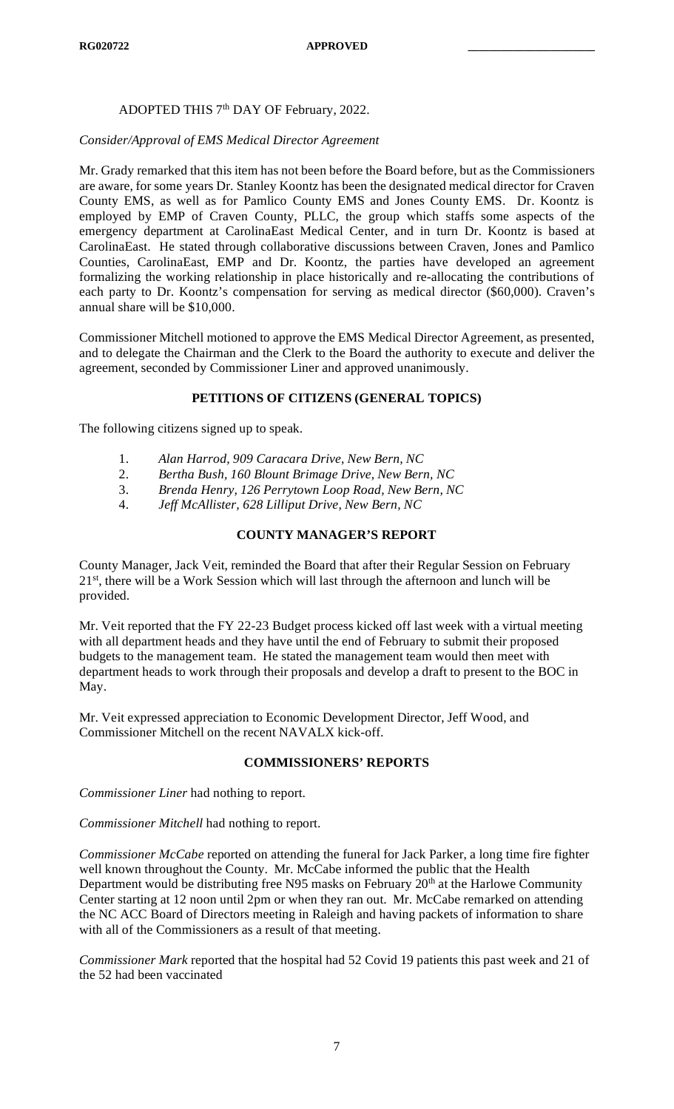# ADOPTED THIS 7<sup>th</sup> DAY OF February, 2022.

## *Consider/Approval of EMS Medical Director Agreement*

Mr. Grady remarked that this item has not been before the Board before, but as the Commissioners are aware, for some years Dr. Stanley Koontz has been the designated medical director for Craven County EMS, as well as for Pamlico County EMS and Jones County EMS. Dr. Koontz is employed by EMP of Craven County, PLLC, the group which staffs some aspects of the emergency department at CarolinaEast Medical Center, and in turn Dr. Koontz is based at CarolinaEast. He stated through collaborative discussions between Craven, Jones and Pamlico Counties, CarolinaEast, EMP and Dr. Koontz, the parties have developed an agreement formalizing the working relationship in place historically and re-allocating the contributions of each party to Dr. Koontz's compensation for serving as medical director (\$60,000). Craven's annual share will be \$10,000.

Commissioner Mitchell motioned to approve the EMS Medical Director Agreement, as presented, and to delegate the Chairman and the Clerk to the Board the authority to execute and deliver the agreement, seconded by Commissioner Liner and approved unanimously.

## **PETITIONS OF CITIZENS (GENERAL TOPICS)**

The following citizens signed up to speak.

- 1. *Alan Harrod, 909 Caracara Drive, New Bern, NC*
- 2. *Bertha Bush, 160 Blount Brimage Drive, New Bern, NC*
- 3. *Brenda Henry, 126 Perrytown Loop Road, New Bern, NC*
- 4. *Jeff McAllister, 628 Lilliput Drive, New Bern, NC*

# **COUNTY MANAGER'S REPORT**

County Manager, Jack Veit, reminded the Board that after their Regular Session on February 21<sup>st</sup>, there will be a Work Session which will last through the afternoon and lunch will be provided.

Mr. Veit reported that the FY 22-23 Budget process kicked off last week with a virtual meeting with all department heads and they have until the end of February to submit their proposed budgets to the management team. He stated the management team would then meet with department heads to work through their proposals and develop a draft to present to the BOC in May.

Mr. Veit expressed appreciation to Economic Development Director, Jeff Wood, and Commissioner Mitchell on the recent NAVALX kick-off.

# **COMMISSIONERS' REPORTS**

*Commissioner Liner* had nothing to report.

*Commissioner Mitchell* had nothing to report.

*Commissioner McCabe* reported on attending the funeral for Jack Parker, a long time fire fighter well known throughout the County. Mr. McCabe informed the public that the Health Department would be distributing free N95 masks on February 20<sup>th</sup> at the Harlowe Community Center starting at 12 noon until 2pm or when they ran out. Mr. McCabe remarked on attending the NC ACC Board of Directors meeting in Raleigh and having packets of information to share with all of the Commissioners as a result of that meeting.

*Commissioner Mark* reported that the hospital had 52 Covid 19 patients this past week and 21 of the 52 had been vaccinated